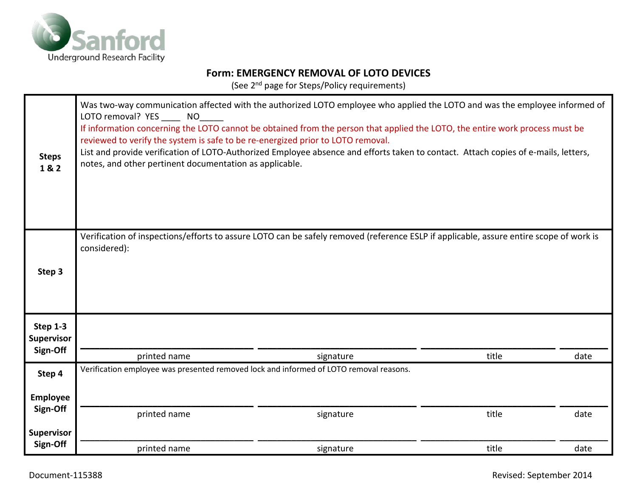

## **Form: EMERGENCY REMOVAL OF LOTO DEVICES**

(See 2nd page for Steps/Policy requirements)

| <b>Steps</b><br>1&2           | Was two-way communication affected with the authorized LOTO employee who applied the LOTO and was the employee informed of<br>LOTO removal? YES NO<br>If information concerning the LOTO cannot be obtained from the person that applied the LOTO, the entire work process must be<br>reviewed to verify the system is safe to be re-energized prior to LOTO removal.<br>List and provide verification of LOTO-Authorized Employee absence and efforts taken to contact. Attach copies of e-mails, letters,<br>notes, and other pertinent documentation as applicable. |           |       |      |
|-------------------------------|------------------------------------------------------------------------------------------------------------------------------------------------------------------------------------------------------------------------------------------------------------------------------------------------------------------------------------------------------------------------------------------------------------------------------------------------------------------------------------------------------------------------------------------------------------------------|-----------|-------|------|
| Step 3                        | Verification of inspections/efforts to assure LOTO can be safely removed (reference ESLP if applicable, assure entire scope of work is<br>considered):                                                                                                                                                                                                                                                                                                                                                                                                                 |           |       |      |
| Step 1-3<br><b>Supervisor</b> |                                                                                                                                                                                                                                                                                                                                                                                                                                                                                                                                                                        |           |       |      |
| Sign-Off                      | printed name                                                                                                                                                                                                                                                                                                                                                                                                                                                                                                                                                           | signature | title | date |
| Step 4                        | Verification employee was presented removed lock and informed of LOTO removal reasons.                                                                                                                                                                                                                                                                                                                                                                                                                                                                                 |           |       |      |
| <b>Employee</b>               |                                                                                                                                                                                                                                                                                                                                                                                                                                                                                                                                                                        |           |       |      |
| Sign-Off                      | printed name                                                                                                                                                                                                                                                                                                                                                                                                                                                                                                                                                           | signature | title | date |
| <b>Supervisor</b>             |                                                                                                                                                                                                                                                                                                                                                                                                                                                                                                                                                                        |           |       |      |
| Sign-Off                      | printed name                                                                                                                                                                                                                                                                                                                                                                                                                                                                                                                                                           | signature | title | date |